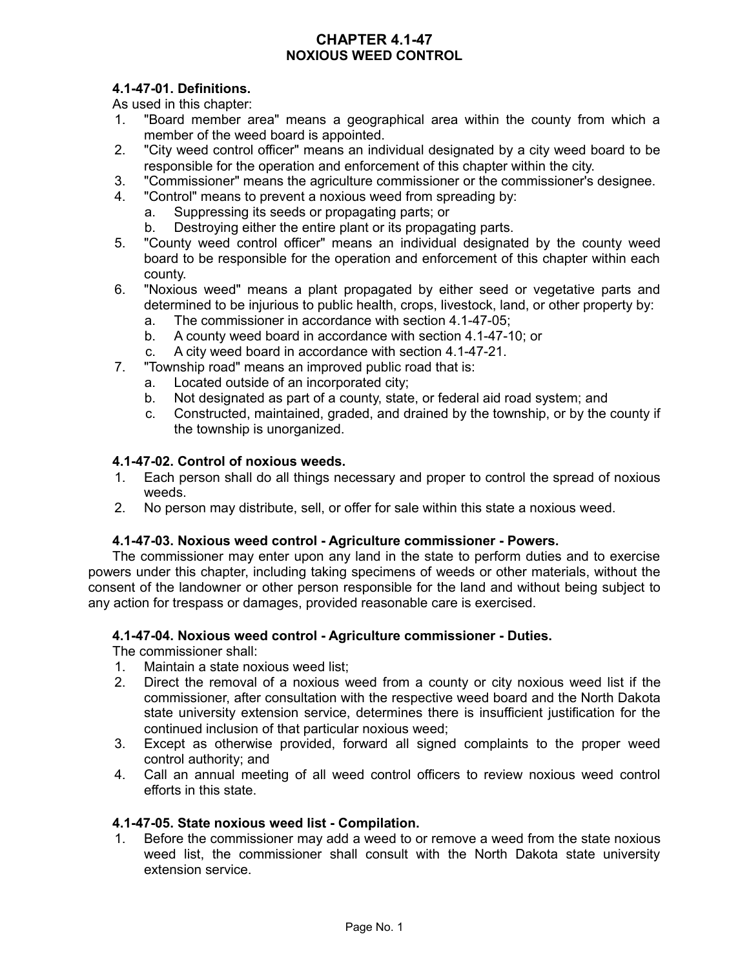### **CHAPTER 4.1-47 NOXIOUS WEED CONTROL**

# **4.1-47-01. Definitions.**

As used in this chapter:

- 1. "Board member area" means a geographical area within the county from which a member of the weed board is appointed.
- 2. "City weed control officer" means an individual designated by a city weed board to be responsible for the operation and enforcement of this chapter within the city.
- 3. "Commissioner" means the agriculture commissioner or the commissioner's designee.
- 4. "Control" means to prevent a noxious weed from spreading by:
	- a. Suppressing its seeds or propagating parts; or
	- b. Destroying either the entire plant or its propagating parts.
- 5. "County weed control officer" means an individual designated by the county weed board to be responsible for the operation and enforcement of this chapter within each county.
- 6. "Noxious weed" means a plant propagated by either seed or vegetative parts and determined to be injurious to public health, crops, livestock, land, or other property by:
	- a. The commissioner in accordance with section 4.1-47-05;
	- b. A county weed board in accordance with section 4.1-47-10; or
	- c. A city weed board in accordance with section 4.1-47-21.
- 7. "Township road" means an improved public road that is:
	- a. Located outside of an incorporated city;
	- b. Not designated as part of a county, state, or federal aid road system; and
	- c. Constructed, maintained, graded, and drained by the township, or by the county if the township is unorganized.

### **4.1-47-02. Control of noxious weeds.**

- 1. Each person shall do all things necessary and proper to control the spread of noxious weeds.
- 2. No person may distribute, sell, or offer for sale within this state a noxious weed.

### **4.1-47-03. Noxious weed control - Agriculture commissioner - Powers.**

The commissioner may enter upon any land in the state to perform duties and to exercise powers under this chapter, including taking specimens of weeds or other materials, without the consent of the landowner or other person responsible for the land and without being subject to any action for trespass or damages, provided reasonable care is exercised.

### **4.1-47-04. Noxious weed control - Agriculture commissioner - Duties.**

The commissioner shall:

- 1. Maintain a state noxious weed list;
- 2. Direct the removal of a noxious weed from a county or city noxious weed list if the commissioner, after consultation with the respective weed board and the North Dakota state university extension service, determines there is insufficient justification for the continued inclusion of that particular noxious weed;
- 3. Except as otherwise provided, forward all signed complaints to the proper weed control authority; and
- 4. Call an annual meeting of all weed control officers to review noxious weed control efforts in this state.

### **4.1-47-05. State noxious weed list - Compilation.**

1. Before the commissioner may add a weed to or remove a weed from the state noxious weed list, the commissioner shall consult with the North Dakota state university extension service.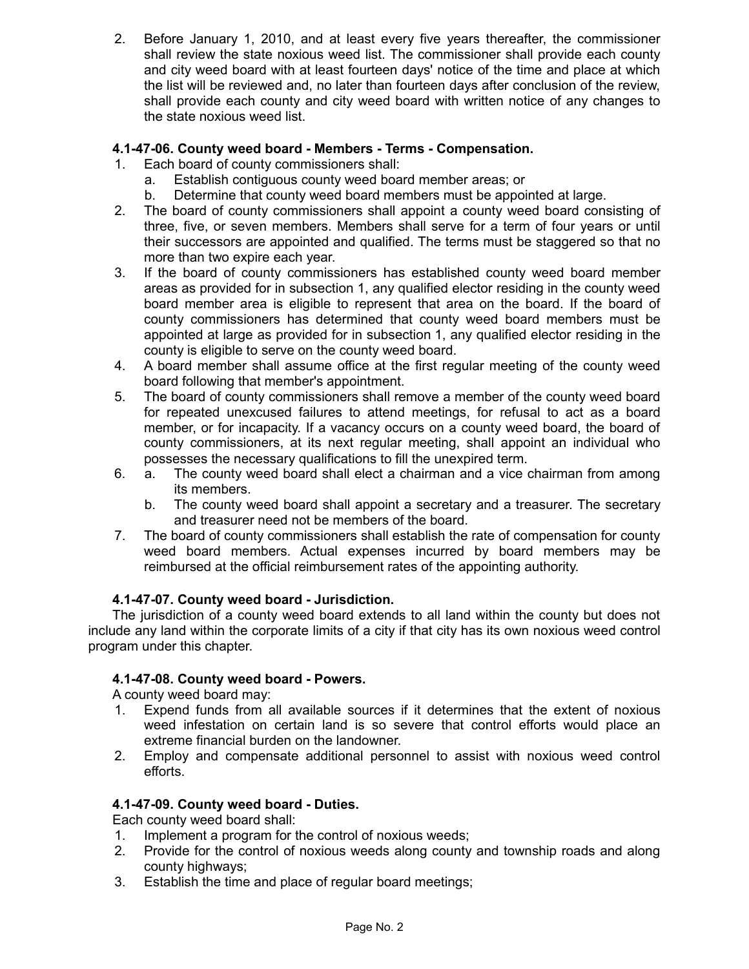2. Before January 1, 2010, and at least every five years thereafter, the commissioner shall review the state noxious weed list. The commissioner shall provide each county and city weed board with at least fourteen days' notice of the time and place at which the list will be reviewed and, no later than fourteen days after conclusion of the review, shall provide each county and city weed board with written notice of any changes to the state noxious weed list.

## **4.1-47-06. County weed board - Members - Terms - Compensation.**

- 1. Each board of county commissioners shall:
	- a. Establish contiguous county weed board member areas; or
	- b. Determine that county weed board members must be appointed at large.
- 2. The board of county commissioners shall appoint a county weed board consisting of three, five, or seven members. Members shall serve for a term of four years or until their successors are appointed and qualified. The terms must be staggered so that no more than two expire each year.
- 3. If the board of county commissioners has established county weed board member areas as provided for in subsection 1, any qualified elector residing in the county weed board member area is eligible to represent that area on the board. If the board of county commissioners has determined that county weed board members must be appointed at large as provided for in subsection 1, any qualified elector residing in the county is eligible to serve on the county weed board.
- 4. A board member shall assume office at the first regular meeting of the county weed board following that member's appointment.
- 5. The board of county commissioners shall remove a member of the county weed board for repeated unexcused failures to attend meetings, for refusal to act as a board member, or for incapacity. If a vacancy occurs on a county weed board, the board of county commissioners, at its next regular meeting, shall appoint an individual who possesses the necessary qualifications to fill the unexpired term.
- 6. a. The county weed board shall elect a chairman and a vice chairman from among its members.
	- b. The county weed board shall appoint a secretary and a treasurer. The secretary and treasurer need not be members of the board.
- 7. The board of county commissioners shall establish the rate of compensation for county weed board members. Actual expenses incurred by board members may be reimbursed at the official reimbursement rates of the appointing authority.

### **4.1-47-07. County weed board - Jurisdiction.**

The jurisdiction of a county weed board extends to all land within the county but does not include any land within the corporate limits of a city if that city has its own noxious weed control program under this chapter.

### **4.1-47-08. County weed board - Powers.**

A county weed board may:

- 1. Expend funds from all available sources if it determines that the extent of noxious weed infestation on certain land is so severe that control efforts would place an extreme financial burden on the landowner.
- 2. Employ and compensate additional personnel to assist with noxious weed control efforts.

### **4.1-47-09. County weed board - Duties.**

Each county weed board shall:

- 1. Implement a program for the control of noxious weeds;
- 2. Provide for the control of noxious weeds along county and township roads and along county highways;
- 3. Establish the time and place of regular board meetings;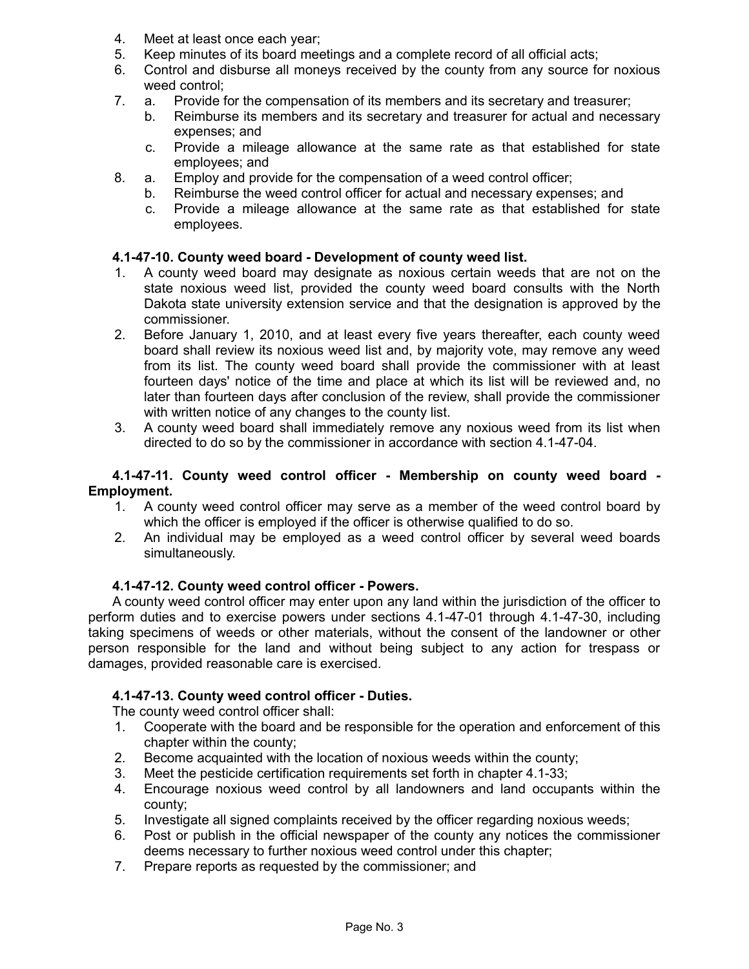- 4. Meet at least once each year;
- 5. Keep minutes of its board meetings and a complete record of all official acts;
- 6. Control and disburse all moneys received by the county from any source for noxious weed control;
- 7. a. Provide for the compensation of its members and its secretary and treasurer;
	- b. Reimburse its members and its secretary and treasurer for actual and necessary expenses; and
	- c. Provide a mileage allowance at the same rate as that established for state employees; and
- 8. a. Employ and provide for the compensation of a weed control officer;
	- b. Reimburse the weed control officer for actual and necessary expenses; and
		- c. Provide a mileage allowance at the same rate as that established for state employees.

## **4.1-47-10. County weed board - Development of county weed list.**

- 1. A county weed board may designate as noxious certain weeds that are not on the state noxious weed list, provided the county weed board consults with the North Dakota state university extension service and that the designation is approved by the commissioner.
- 2. Before January 1, 2010, and at least every five years thereafter, each county weed board shall review its noxious weed list and, by majority vote, may remove any weed from its list. The county weed board shall provide the commissioner with at least fourteen days' notice of the time and place at which its list will be reviewed and, no later than fourteen days after conclusion of the review, shall provide the commissioner with written notice of any changes to the county list.
- 3. A county weed board shall immediately remove any noxious weed from its list when directed to do so by the commissioner in accordance with section 4.1-47-04.

#### **4.1-47-11. County weed control officer - Membership on county weed board - Employment.**

- 1. A county weed control officer may serve as a member of the weed control board by which the officer is employed if the officer is otherwise qualified to do so.
- 2. An individual may be employed as a weed control officer by several weed boards simultaneously.

### **4.1-47-12. County weed control officer - Powers.**

A county weed control officer may enter upon any land within the jurisdiction of the officer to perform duties and to exercise powers under sections 4.1-47-01 through 4.1-47-30, including taking specimens of weeds or other materials, without the consent of the landowner or other person responsible for the land and without being subject to any action for trespass or damages, provided reasonable care is exercised.

## **4.1-47-13. County weed control officer - Duties.**

The county weed control officer shall:

- 1. Cooperate with the board and be responsible for the operation and enforcement of this chapter within the county;
- 2. Become acquainted with the location of noxious weeds within the county;
- 3. Meet the pesticide certification requirements set forth in chapter 4.1-33;
- 4. Encourage noxious weed control by all landowners and land occupants within the county;
- 5. Investigate all signed complaints received by the officer regarding noxious weeds;
- 6. Post or publish in the official newspaper of the county any notices the commissioner deems necessary to further noxious weed control under this chapter;
- 7. Prepare reports as requested by the commissioner; and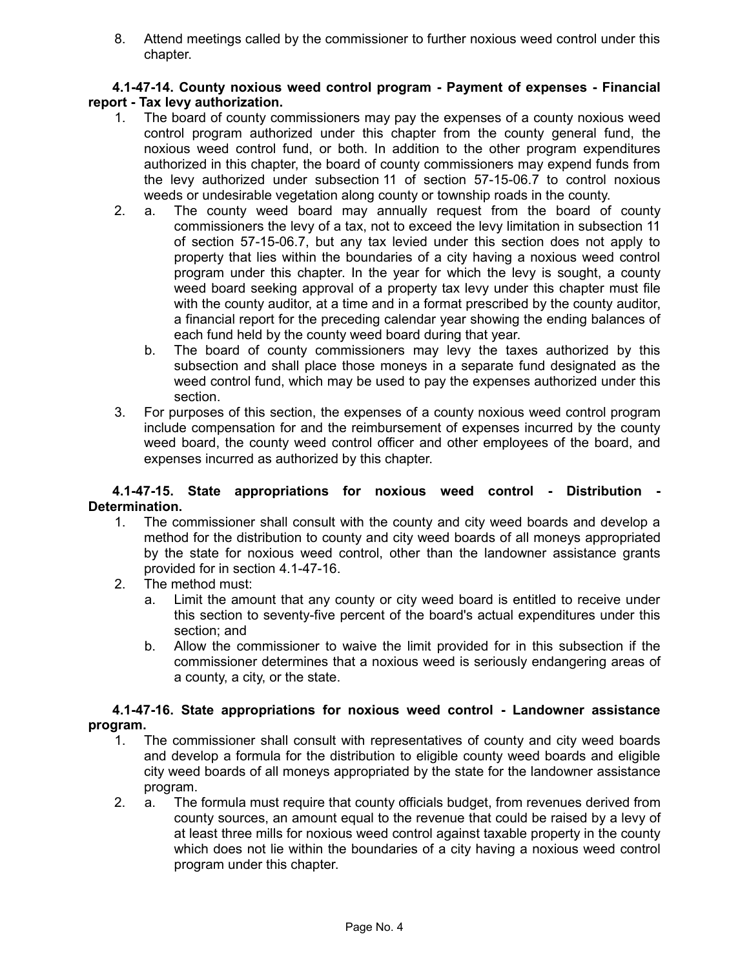8. Attend meetings called by the commissioner to further noxious weed control under this chapter.

#### **4.1-47-14. County noxious weed control program - Payment of expenses - Financial report - Tax levy authorization.**

- 1. The board of county commissioners may pay the expenses of a county noxious weed control program authorized under this chapter from the county general fund, the noxious weed control fund, or both. In addition to the other program expenditures authorized in this chapter, the board of county commissioners may expend funds from the levy authorized under subsection 11 of section 57-15-06.7 to control noxious weeds or undesirable vegetation along county or township roads in the county.
- 2. a. The county weed board may annually request from the board of county commissioners the levy of a tax, not to exceed the levy limitation in subsection 11 of section 57-15-06.7, but any tax levied under this section does not apply to property that lies within the boundaries of a city having a noxious weed control program under this chapter. In the year for which the levy is sought, a county weed board seeking approval of a property tax levy under this chapter must file with the county auditor, at a time and in a format prescribed by the county auditor, a financial report for the preceding calendar year showing the ending balances of each fund held by the county weed board during that year.
	- b. The board of county commissioners may levy the taxes authorized by this subsection and shall place those moneys in a separate fund designated as the weed control fund, which may be used to pay the expenses authorized under this section.
- 3. For purposes of this section, the expenses of a county noxious weed control program include compensation for and the reimbursement of expenses incurred by the county weed board, the county weed control officer and other employees of the board, and expenses incurred as authorized by this chapter.

#### **4.1-47-15. State appropriations for noxious weed control - Distribution - Determination.**

- 1. The commissioner shall consult with the county and city weed boards and develop a method for the distribution to county and city weed boards of all moneys appropriated by the state for noxious weed control, other than the landowner assistance grants provided for in section 4.1-47-16.
- 2. The method must:
	- a. Limit the amount that any county or city weed board is entitled to receive under this section to seventy-five percent of the board's actual expenditures under this section; and
	- b. Allow the commissioner to waive the limit provided for in this subsection if the commissioner determines that a noxious weed is seriously endangering areas of a county, a city, or the state.

#### **4.1-47-16. State appropriations for noxious weed control - Landowner assistance program.**

- 1. The commissioner shall consult with representatives of county and city weed boards and develop a formula for the distribution to eligible county weed boards and eligible city weed boards of all moneys appropriated by the state for the landowner assistance program.
- 2. a. The formula must require that county officials budget, from revenues derived from county sources, an amount equal to the revenue that could be raised by a levy of at least three mills for noxious weed control against taxable property in the county which does not lie within the boundaries of a city having a noxious weed control program under this chapter.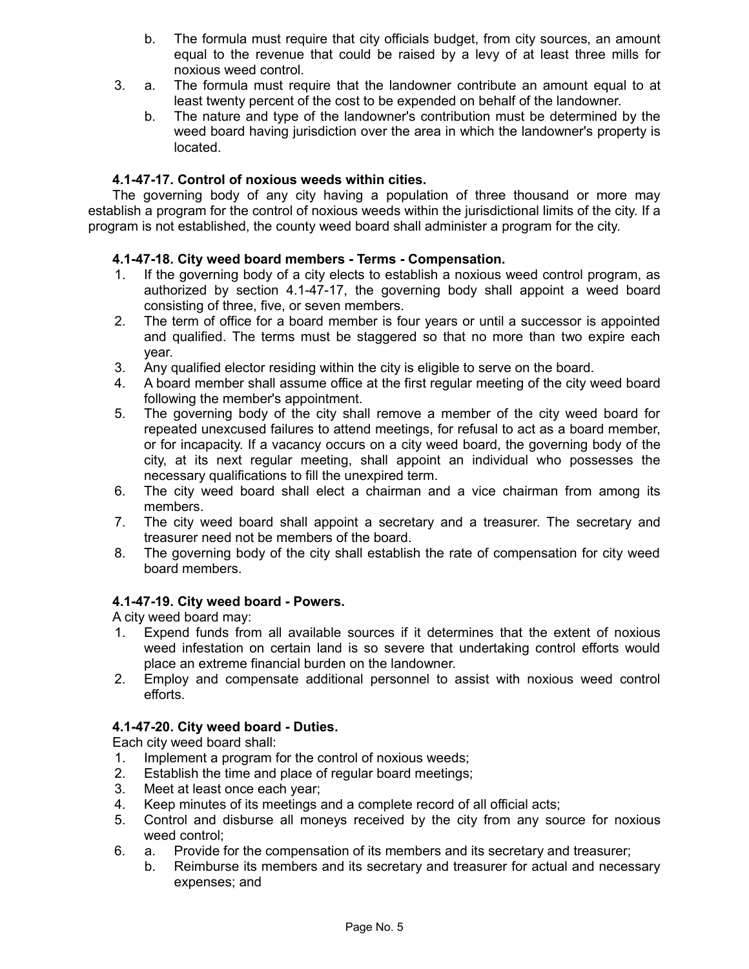- b. The formula must require that city officials budget, from city sources, an amount equal to the revenue that could be raised by a levy of at least three mills for noxious weed control.
- 3. a. The formula must require that the landowner contribute an amount equal to at least twenty percent of the cost to be expended on behalf of the landowner.
	- b. The nature and type of the landowner's contribution must be determined by the weed board having jurisdiction over the area in which the landowner's property is located.

## **4.1-47-17. Control of noxious weeds within cities.**

The governing body of any city having a population of three thousand or more may establish a program for the control of noxious weeds within the jurisdictional limits of the city. If a program is not established, the county weed board shall administer a program for the city.

## **4.1-47-18. City weed board members - Terms - Compensation.**

- 1. If the governing body of a city elects to establish a noxious weed control program, as authorized by section 4.1-47-17, the governing body shall appoint a weed board consisting of three, five, or seven members.
- 2. The term of office for a board member is four years or until a successor is appointed and qualified. The terms must be staggered so that no more than two expire each year.
- 3. Any qualified elector residing within the city is eligible to serve on the board.
- 4. A board member shall assume office at the first regular meeting of the city weed board following the member's appointment.
- 5. The governing body of the city shall remove a member of the city weed board for repeated unexcused failures to attend meetings, for refusal to act as a board member, or for incapacity. If a vacancy occurs on a city weed board, the governing body of the city, at its next regular meeting, shall appoint an individual who possesses the necessary qualifications to fill the unexpired term.
- 6. The city weed board shall elect a chairman and a vice chairman from among its members.
- 7. The city weed board shall appoint a secretary and a treasurer. The secretary and treasurer need not be members of the board.
- 8. The governing body of the city shall establish the rate of compensation for city weed board members.

### **4.1-47-19. City weed board - Powers.**

A city weed board may:

- 1. Expend funds from all available sources if it determines that the extent of noxious weed infestation on certain land is so severe that undertaking control efforts would place an extreme financial burden on the landowner.
- 2. Employ and compensate additional personnel to assist with noxious weed control efforts.

### **4.1-47-20. City weed board - Duties.**

Each city weed board shall:

- 1. Implement a program for the control of noxious weeds;
- 2. Establish the time and place of regular board meetings;
- 3. Meet at least once each year;
- 4. Keep minutes of its meetings and a complete record of all official acts;
- 5. Control and disburse all moneys received by the city from any source for noxious weed control;
- 6. a. Provide for the compensation of its members and its secretary and treasurer;
	- b. Reimburse its members and its secretary and treasurer for actual and necessary expenses; and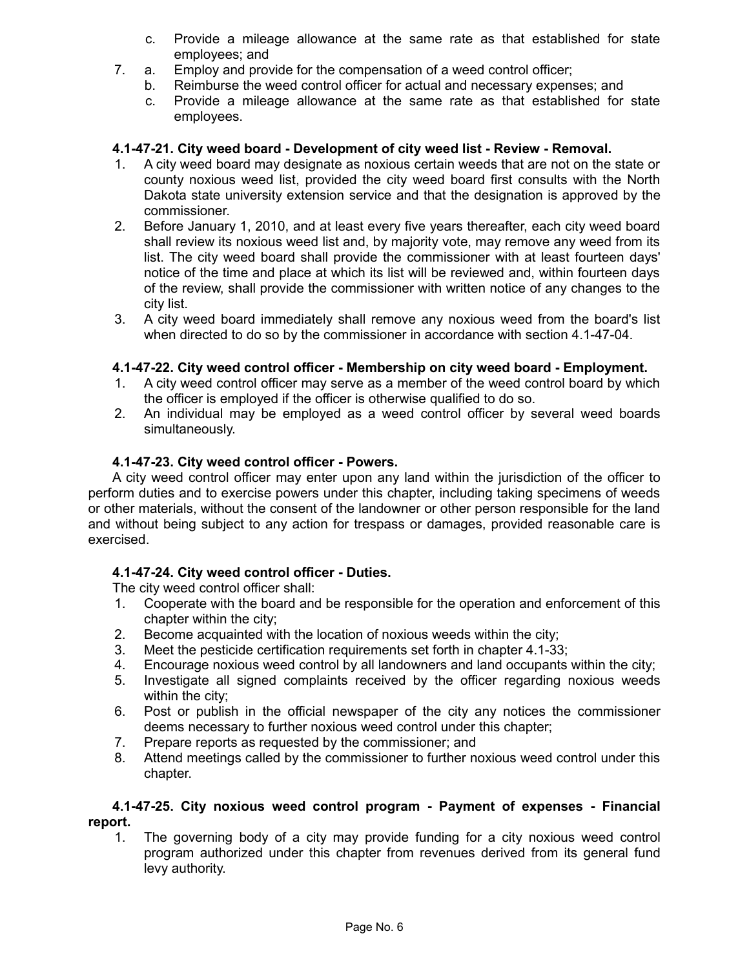- c. Provide a mileage allowance at the same rate as that established for state employees; and
- 7. a. Employ and provide for the compensation of a weed control officer;
	- b. Reimburse the weed control officer for actual and necessary expenses; and
	- c. Provide a mileage allowance at the same rate as that established for state employees.

#### **4.1-47-21. City weed board - Development of city weed list - Review - Removal.**

- 1. A city weed board may designate as noxious certain weeds that are not on the state or county noxious weed list, provided the city weed board first consults with the North Dakota state university extension service and that the designation is approved by the commissioner.
- 2. Before January 1, 2010, and at least every five years thereafter, each city weed board shall review its noxious weed list and, by majority vote, may remove any weed from its list. The city weed board shall provide the commissioner with at least fourteen days' notice of the time and place at which its list will be reviewed and, within fourteen days of the review, shall provide the commissioner with written notice of any changes to the city list.
- 3. A city weed board immediately shall remove any noxious weed from the board's list when directed to do so by the commissioner in accordance with section 4.1-47-04.

#### **4.1-47-22. City weed control officer - Membership on city weed board - Employment.**

- 1. A city weed control officer may serve as a member of the weed control board by which the officer is employed if the officer is otherwise qualified to do so.
- 2. An individual may be employed as a weed control officer by several weed boards simultaneously.

#### **4.1-47-23. City weed control officer - Powers.**

A city weed control officer may enter upon any land within the jurisdiction of the officer to perform duties and to exercise powers under this chapter, including taking specimens of weeds or other materials, without the consent of the landowner or other person responsible for the land and without being subject to any action for trespass or damages, provided reasonable care is exercised.

#### **4.1-47-24. City weed control officer - Duties.**

The city weed control officer shall:

- 1. Cooperate with the board and be responsible for the operation and enforcement of this chapter within the city;
- 2. Become acquainted with the location of noxious weeds within the city;
- 3. Meet the pesticide certification requirements set forth in chapter 4.1-33;
- 4. Encourage noxious weed control by all landowners and land occupants within the city;
- 5. Investigate all signed complaints received by the officer regarding noxious weeds within the city;
- 6. Post or publish in the official newspaper of the city any notices the commissioner deems necessary to further noxious weed control under this chapter;
- 7. Prepare reports as requested by the commissioner; and
- 8. Attend meetings called by the commissioner to further noxious weed control under this chapter.

#### **4.1-47-25. City noxious weed control program - Payment of expenses - Financial report.**

1. The governing body of a city may provide funding for a city noxious weed control program authorized under this chapter from revenues derived from its general fund levy authority.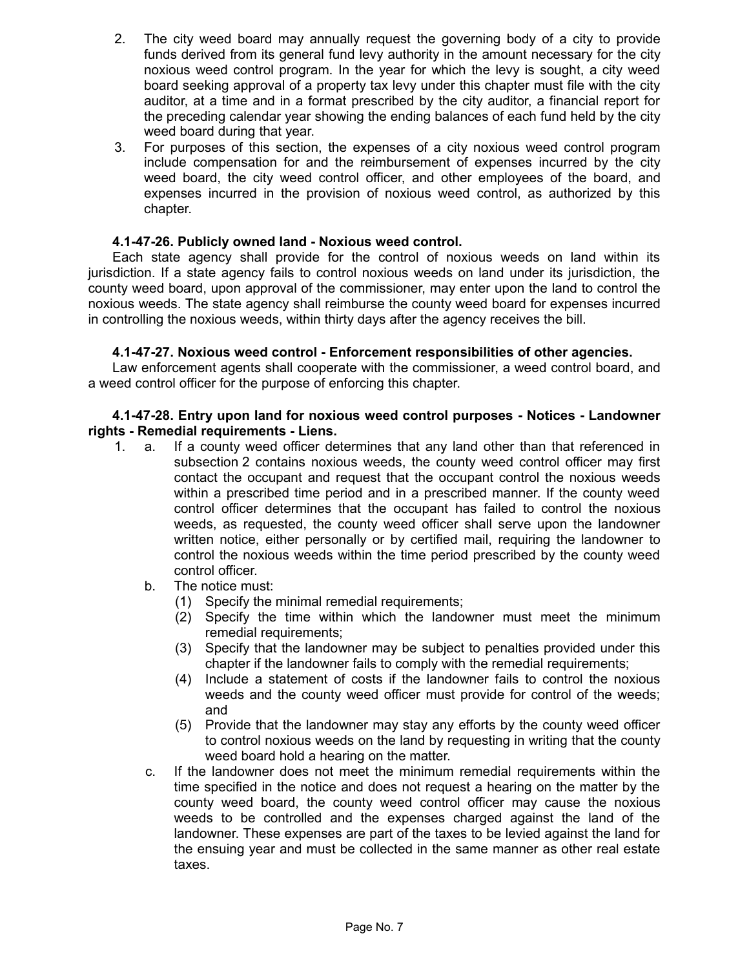- 2. The city weed board may annually request the governing body of a city to provide funds derived from its general fund levy authority in the amount necessary for the city noxious weed control program. In the year for which the levy is sought, a city weed board seeking approval of a property tax levy under this chapter must file with the city auditor, at a time and in a format prescribed by the city auditor, a financial report for the preceding calendar year showing the ending balances of each fund held by the city weed board during that year.
- 3. For purposes of this section, the expenses of a city noxious weed control program include compensation for and the reimbursement of expenses incurred by the city weed board, the city weed control officer, and other employees of the board, and expenses incurred in the provision of noxious weed control, as authorized by this chapter.

#### **4.1-47-26. Publicly owned land - Noxious weed control.**

Each state agency shall provide for the control of noxious weeds on land within its jurisdiction. If a state agency fails to control noxious weeds on land under its jurisdiction, the county weed board, upon approval of the commissioner, may enter upon the land to control the noxious weeds. The state agency shall reimburse the county weed board for expenses incurred in controlling the noxious weeds, within thirty days after the agency receives the bill.

#### **4.1-47-27. Noxious weed control - Enforcement responsibilities of other agencies.**

Law enforcement agents shall cooperate with the commissioner, a weed control board, and a weed control officer for the purpose of enforcing this chapter.

#### **4.1-47-28. Entry upon land for noxious weed control purposes - Notices - Landowner rights - Remedial requirements - Liens.**

- 1. a. If a county weed officer determines that any land other than that referenced in subsection 2 contains noxious weeds, the county weed control officer may first contact the occupant and request that the occupant control the noxious weeds within a prescribed time period and in a prescribed manner. If the county weed control officer determines that the occupant has failed to control the noxious weeds, as requested, the county weed officer shall serve upon the landowner written notice, either personally or by certified mail, requiring the landowner to control the noxious weeds within the time period prescribed by the county weed control officer.
	- b. The notice must:
		- (1) Specify the minimal remedial requirements;
		- (2) Specify the time within which the landowner must meet the minimum remedial requirements;
		- (3) Specify that the landowner may be subject to penalties provided under this chapter if the landowner fails to comply with the remedial requirements;
		- (4) Include a statement of costs if the landowner fails to control the noxious weeds and the county weed officer must provide for control of the weeds; and
		- (5) Provide that the landowner may stay any efforts by the county weed officer to control noxious weeds on the land by requesting in writing that the county weed board hold a hearing on the matter.
	- c. If the landowner does not meet the minimum remedial requirements within the time specified in the notice and does not request a hearing on the matter by the county weed board, the county weed control officer may cause the noxious weeds to be controlled and the expenses charged against the land of the landowner. These expenses are part of the taxes to be levied against the land for the ensuing year and must be collected in the same manner as other real estate taxes.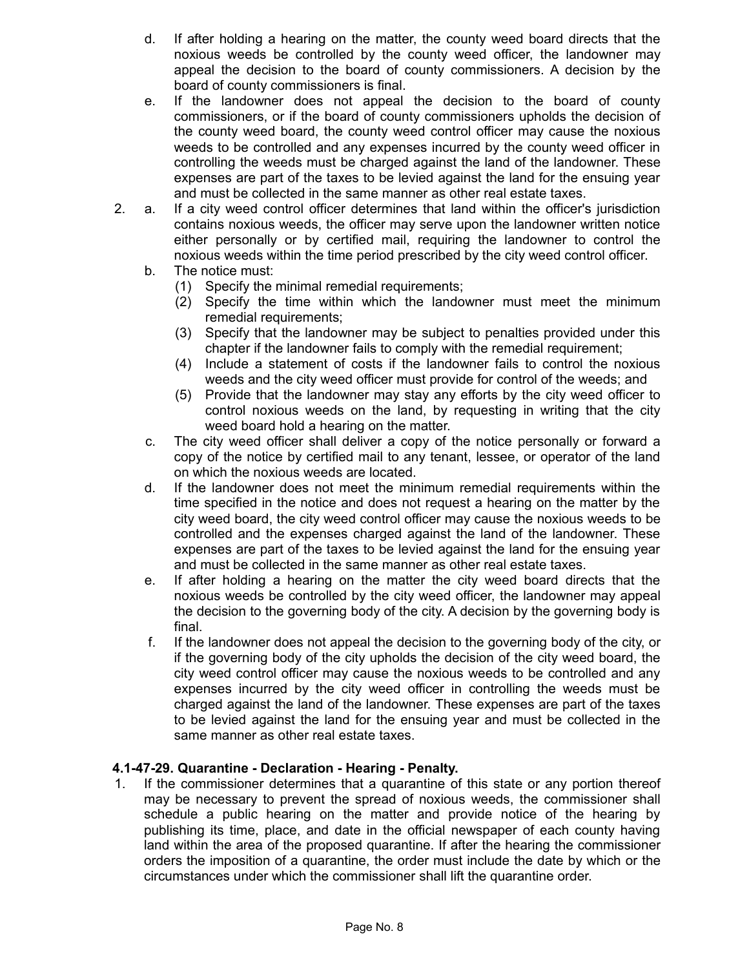- d. If after holding a hearing on the matter, the county weed board directs that the noxious weeds be controlled by the county weed officer, the landowner may appeal the decision to the board of county commissioners. A decision by the board of county commissioners is final.
- e. If the landowner does not appeal the decision to the board of county commissioners, or if the board of county commissioners upholds the decision of the county weed board, the county weed control officer may cause the noxious weeds to be controlled and any expenses incurred by the county weed officer in controlling the weeds must be charged against the land of the landowner. These expenses are part of the taxes to be levied against the land for the ensuing year and must be collected in the same manner as other real estate taxes.
- 2. a. If a city weed control officer determines that land within the officer's jurisdiction contains noxious weeds, the officer may serve upon the landowner written notice either personally or by certified mail, requiring the landowner to control the noxious weeds within the time period prescribed by the city weed control officer.
	- b. The notice must:
		- (1) Specify the minimal remedial requirements;
		- (2) Specify the time within which the landowner must meet the minimum remedial requirements;
		- (3) Specify that the landowner may be subject to penalties provided under this chapter if the landowner fails to comply with the remedial requirement;
		- (4) Include a statement of costs if the landowner fails to control the noxious weeds and the city weed officer must provide for control of the weeds; and
		- (5) Provide that the landowner may stay any efforts by the city weed officer to control noxious weeds on the land, by requesting in writing that the city weed board hold a hearing on the matter.
	- c. The city weed officer shall deliver a copy of the notice personally or forward a copy of the notice by certified mail to any tenant, lessee, or operator of the land on which the noxious weeds are located.
	- d. If the landowner does not meet the minimum remedial requirements within the time specified in the notice and does not request a hearing on the matter by the city weed board, the city weed control officer may cause the noxious weeds to be controlled and the expenses charged against the land of the landowner. These expenses are part of the taxes to be levied against the land for the ensuing year and must be collected in the same manner as other real estate taxes.
	- e. If after holding a hearing on the matter the city weed board directs that the noxious weeds be controlled by the city weed officer, the landowner may appeal the decision to the governing body of the city. A decision by the governing body is final.
	- f. If the landowner does not appeal the decision to the governing body of the city, or if the governing body of the city upholds the decision of the city weed board, the city weed control officer may cause the noxious weeds to be controlled and any expenses incurred by the city weed officer in controlling the weeds must be charged against the land of the landowner. These expenses are part of the taxes to be levied against the land for the ensuing year and must be collected in the same manner as other real estate taxes.

### **4.1-47-29. Quarantine - Declaration - Hearing - Penalty.**

1. If the commissioner determines that a quarantine of this state or any portion thereof may be necessary to prevent the spread of noxious weeds, the commissioner shall schedule a public hearing on the matter and provide notice of the hearing by publishing its time, place, and date in the official newspaper of each county having land within the area of the proposed quarantine. If after the hearing the commissioner orders the imposition of a quarantine, the order must include the date by which or the circumstances under which the commissioner shall lift the quarantine order.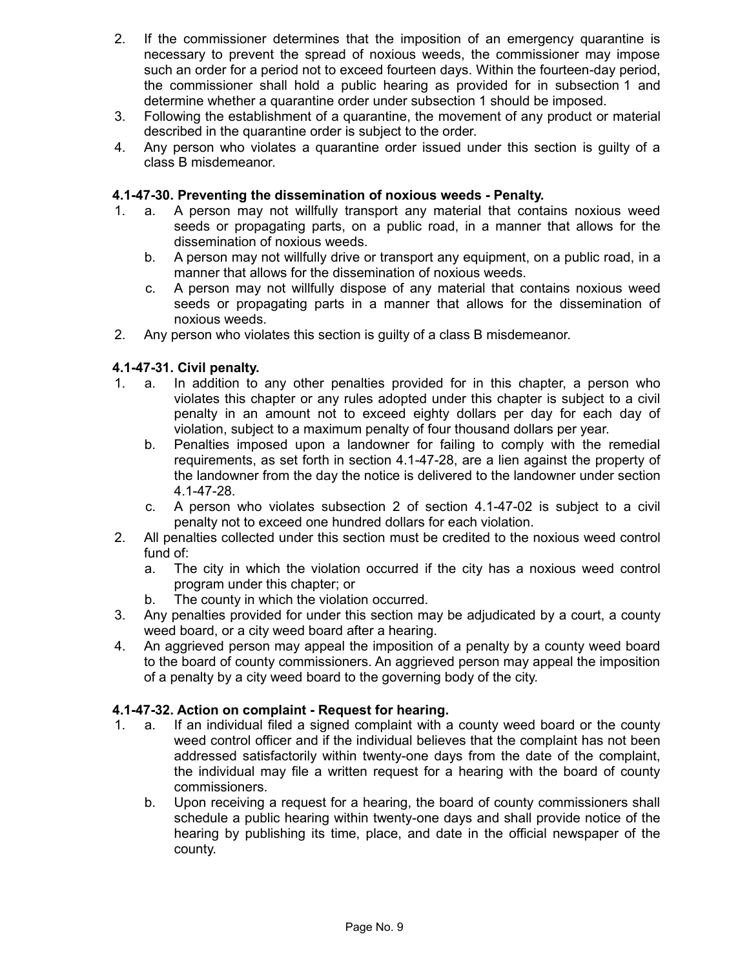- 2. If the commissioner determines that the imposition of an emergency quarantine is necessary to prevent the spread of noxious weeds, the commissioner may impose such an order for a period not to exceed fourteen days. Within the fourteen-day period, the commissioner shall hold a public hearing as provided for in subsection 1 and determine whether a quarantine order under subsection 1 should be imposed.
- 3. Following the establishment of a quarantine, the movement of any product or material described in the quarantine order is subject to the order.
- 4. Any person who violates a quarantine order issued under this section is guilty of a class B misdemeanor.

#### **4.1-47-30. Preventing the dissemination of noxious weeds - Penalty.**

- 1. a. A person may not willfully transport any material that contains noxious weed seeds or propagating parts, on a public road, in a manner that allows for the dissemination of noxious weeds.
	- b. A person may not willfully drive or transport any equipment, on a public road, in a manner that allows for the dissemination of noxious weeds.
	- c. A person may not willfully dispose of any material that contains noxious weed seeds or propagating parts in a manner that allows for the dissemination of noxious weeds.
- 2. Any person who violates this section is guilty of a class B misdemeanor.

#### **4.1-47-31. Civil penalty.**

- 1. a. In addition to any other penalties provided for in this chapter, a person who violates this chapter or any rules adopted under this chapter is subject to a civil penalty in an amount not to exceed eighty dollars per day for each day of violation, subject to a maximum penalty of four thousand dollars per year.
	- b. Penalties imposed upon a landowner for failing to comply with the remedial requirements, as set forth in section 4.1-47-28, are a lien against the property of the landowner from the day the notice is delivered to the landowner under section 4.1-47-28.
	- c. A person who violates subsection 2 of section 4.1-47-02 is subject to a civil penalty not to exceed one hundred dollars for each violation.
- 2. All penalties collected under this section must be credited to the noxious weed control fund of:
	- a. The city in which the violation occurred if the city has a noxious weed control program under this chapter; or
	- b. The county in which the violation occurred.
- 3. Any penalties provided for under this section may be adjudicated by a court, a county weed board, or a city weed board after a hearing.
- 4. An aggrieved person may appeal the imposition of a penalty by a county weed board to the board of county commissioners. An aggrieved person may appeal the imposition of a penalty by a city weed board to the governing body of the city.

### **4.1-47-32. Action on complaint - Request for hearing.**

- 1. a. If an individual filed a signed complaint with a county weed board or the county weed control officer and if the individual believes that the complaint has not been addressed satisfactorily within twenty-one days from the date of the complaint, the individual may file a written request for a hearing with the board of county commissioners.
	- b. Upon receiving a request for a hearing, the board of county commissioners shall schedule a public hearing within twenty-one days and shall provide notice of the hearing by publishing its time, place, and date in the official newspaper of the county.